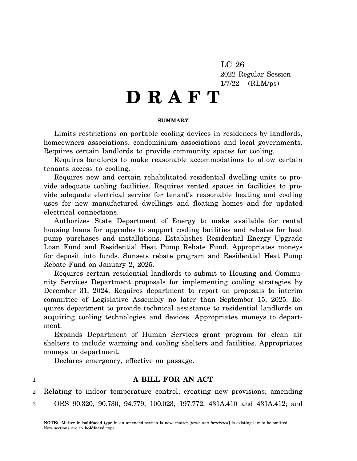LC 26 2022 Regular Session 1/7/22 (RLM/ps)

# **D R A F T**

#### **SUMMARY**

Limits restrictions on portable cooling devices in residences by landlords, homeowners associations, condominium associations and local governments. Requires certain landlords to provide community spaces for cooling.

Requires landlords to make reasonable accommodations to allow certain tenants access to cooling.

Requires new and certain rehabilitated residential dwelling units to provide adequate cooling facilities. Requires rented spaces in facilities to provide adequate electrical service for tenant's reasonable heating and cooling uses for new manufactured dwellings and floating homes and for updated electrical connections.

Authorizes State Department of Energy to make available for rental housing loans for upgrades to support cooling facilities and rebates for heat pump purchases and installations. Establishes Residential Energy Upgrade Loan Fund and Residential Heat Pump Rebate Fund. Appropriates moneys for deposit into funds. Sunsets rebate program and Residential Heat Pump Rebate Fund on January 2, 2025.

Requires certain residential landlords to submit to Housing and Community Services Department proposals for implementing cooling strategies by December 31, 2024. Requires department to report on proposals to interim committee of Legislative Assembly no later than September 15, 2025. Requires department to provide technical assistance to residential landlords on acquiring cooling technologies and devices. Appropriates moneys to department.

Expands Department of Human Services grant program for clean air shelters to include warming and cooling shelters and facilities. Appropriates moneys to department.

Declares emergency, effective on passage.

1

# **A BILL FOR AN ACT**

2 3 Relating to indoor temperature control; creating new provisions; amending ORS 90.320, 90.730, 94.779, 100.023, 197.772, 431A.410 and 431A.412; and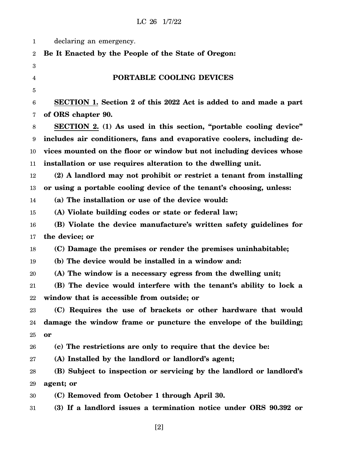| 1            | declaring an emergency.                                                |
|--------------|------------------------------------------------------------------------|
| $\mathbf{2}$ | Be It Enacted by the People of the State of Oregon:                    |
| 3            |                                                                        |
| 4            | PORTABLE COOLING DEVICES                                               |
| 5            |                                                                        |
| 6            | SECTION 1. Section 2 of this 2022 Act is added to and made a part      |
| 7            | of ORS chapter 90.                                                     |
| 8            | SECTION 2. (1) As used in this section, "portable cooling device"      |
| 9            | includes air conditioners, fans and evaporative coolers, including de- |
| 10           | vices mounted on the floor or window but not including devices whose   |
| 11           | installation or use requires alteration to the dwelling unit.          |
| 12           | (2) A landlord may not prohibit or restrict a tenant from installing   |
| 13           | or using a portable cooling device of the tenant's choosing, unless:   |
| 14           | (a) The installation or use of the device would:                       |
| 15           | (A) Violate building codes or state or federal law;                    |
| 16           | (B) Violate the device manufacture's written safety guidelines for     |
| 17           | the device; or                                                         |
| 18           | (C) Damage the premises or render the premises uninhabitable;          |
| 19           | (b) The device would be installed in a window and:                     |
| 20           | (A) The window is a necessary egress from the dwelling unit;           |
| 21           | (B) The device would interfere with the tenant's ability to lock a     |
| 22           | window that is accessible from outside; or                             |
| 23           | (C) Requires the use of brackets or other hardware that would          |
| 24           | damage the window frame or puncture the envelope of the building;      |
| 25           | or                                                                     |
| 26           | (c) The restrictions are only to require that the device be:           |
| 27           | (A) Installed by the landlord or landlord's agent;                     |
| 28           | (B) Subject to inspection or servicing by the landlord or landlord's   |
| 29           | agent; or                                                              |
| 30           | (C) Removed from October 1 through April 30.                           |
| $31\,$       | (3) If a landlord issues a termination notice under ORS 90.392 or      |
|              |                                                                        |

[2]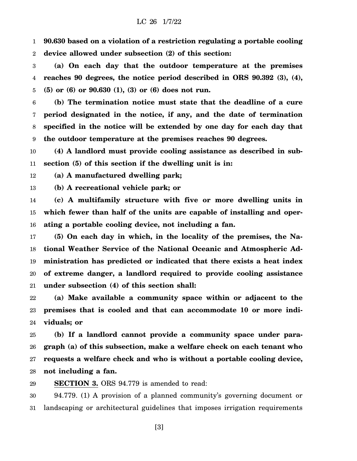1 2 **90.630 based on a violation of a restriction regulating a portable cooling device allowed under subsection (2) of this section:**

3 4 5 **(a) On each day that the outdoor temperature at the premises reaches 90 degrees, the notice period described in ORS 90.392 (3), (4), (5) or (6) or 90.630 (1), (3) or (6) does not run.**

6 7 8 9 **(b) The termination notice must state that the deadline of a cure period designated in the notice, if any, and the date of termination specified in the notice will be extended by one day for each day that the outdoor temperature at the premises reaches 90 degrees.**

10 11 **(4) A landlord must provide cooling assistance as described in subsection (5) of this section if the dwelling unit is in:**

12 **(a) A manufactured dwelling park;**

13 **(b) A recreational vehicle park; or**

14 15 16 **(c) A multifamily structure with five or more dwelling units in which fewer than half of the units are capable of installing and operating a portable cooling device, not including a fan.**

17 18 19 20 21 **(5) On each day in which, in the locality of the premises, the National Weather Service of the National Oceanic and Atmospheric Administration has predicted or indicated that there exists a heat index of extreme danger, a landlord required to provide cooling assistance under subsection (4) of this section shall:**

22 23 24 **(a) Make available a community space within or adjacent to the premises that is cooled and that can accommodate 10 or more individuals; or**

25 26 27 28 **(b) If a landlord cannot provide a community space under paragraph (a) of this subsection, make a welfare check on each tenant who requests a welfare check and who is without a portable cooling device, not including a fan.**

29 **SECTION 3.** ORS 94.779 is amended to read:

30 31 94.779. (1) A provision of a planned community's governing document or landscaping or architectural guidelines that imposes irrigation requirements

[3]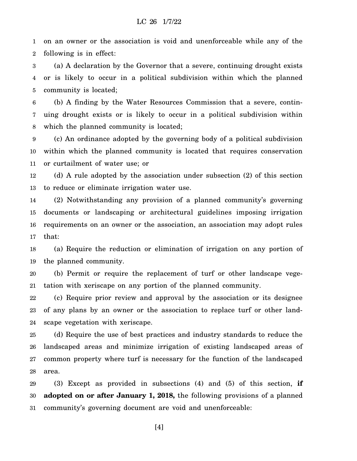1 2 on an owner or the association is void and unenforceable while any of the following is in effect:

3 4 5 (a) A declaration by the Governor that a severe, continuing drought exists or is likely to occur in a political subdivision within which the planned community is located;

6 7 8 (b) A finding by the Water Resources Commission that a severe, continuing drought exists or is likely to occur in a political subdivision within which the planned community is located;

9 10 11 (c) An ordinance adopted by the governing body of a political subdivision within which the planned community is located that requires conservation or curtailment of water use; or

12 13 (d) A rule adopted by the association under subsection (2) of this section to reduce or eliminate irrigation water use.

14 15 16 17 (2) Notwithstanding any provision of a planned community's governing documents or landscaping or architectural guidelines imposing irrigation requirements on an owner or the association, an association may adopt rules that:

18 19 (a) Require the reduction or elimination of irrigation on any portion of the planned community.

20 21 (b) Permit or require the replacement of turf or other landscape vegetation with xeriscape on any portion of the planned community.

22 23 24 (c) Require prior review and approval by the association or its designee of any plans by an owner or the association to replace turf or other landscape vegetation with xeriscape.

25 26 27 28 (d) Require the use of best practices and industry standards to reduce the landscaped areas and minimize irrigation of existing landscaped areas of common property where turf is necessary for the function of the landscaped area.

29 30 31 (3) Except as provided in subsections (4) and (5) of this section, **if adopted on or after January 1, 2018,** the following provisions of a planned community's governing document are void and unenforceable:

[4]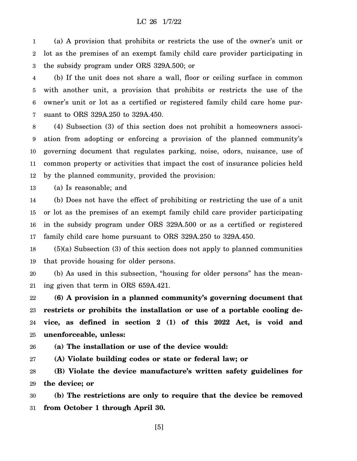1 2 3 (a) A provision that prohibits or restricts the use of the owner's unit or lot as the premises of an exempt family child care provider participating in the subsidy program under ORS 329A.500; or

4 5 6 7 (b) If the unit does not share a wall, floor or ceiling surface in common with another unit, a provision that prohibits or restricts the use of the owner's unit or lot as a certified or registered family child care home pursuant to ORS 329A.250 to 329A.450.

8 9 10 11 12 (4) Subsection (3) of this section does not prohibit a homeowners association from adopting or enforcing a provision of the planned community's governing document that regulates parking, noise, odors, nuisance, use of common property or activities that impact the cost of insurance policies held by the planned community, provided the provision:

13 (a) Is reasonable; and

14 15 16 17 (b) Does not have the effect of prohibiting or restricting the use of a unit or lot as the premises of an exempt family child care provider participating in the subsidy program under ORS 329A.500 or as a certified or registered family child care home pursuant to ORS 329A.250 to 329A.450.

18 19 (5)(a) Subsection (3) of this section does not apply to planned communities that provide housing for older persons.

20 21 (b) As used in this subsection, "housing for older persons" has the meaning given that term in ORS 659A.421.

22 23 24 25 **(6) A provision in a planned community's governing document that restricts or prohibits the installation or use of a portable cooling device, as defined in section 2 (1) of this 2022 Act, is void and unenforceable, unless:**

26 **(a) The installation or use of the device would:**

27 **(A) Violate building codes or state or federal law; or**

28 29 **(B) Violate the device manufacture's written safety guidelines for the device; or**

30 31 **(b) The restrictions are only to require that the device be removed from October 1 through April 30.**

[5]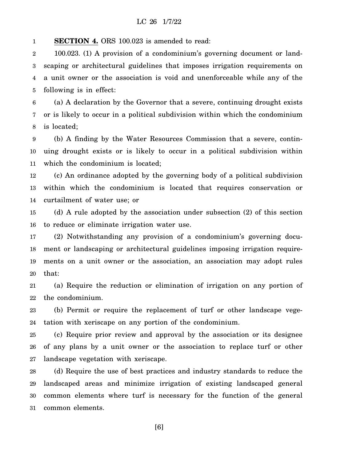1 **SECTION 4.** ORS 100.023 is amended to read:

2 3 4 5 100.023. (1) A provision of a condominium's governing document or landscaping or architectural guidelines that imposes irrigation requirements on a unit owner or the association is void and unenforceable while any of the following is in effect:

6 7 8 (a) A declaration by the Governor that a severe, continuing drought exists or is likely to occur in a political subdivision within which the condominium is located;

9 10 11 (b) A finding by the Water Resources Commission that a severe, continuing drought exists or is likely to occur in a political subdivision within which the condominium is located;

12 13 14 (c) An ordinance adopted by the governing body of a political subdivision within which the condominium is located that requires conservation or curtailment of water use; or

15 16 (d) A rule adopted by the association under subsection (2) of this section to reduce or eliminate irrigation water use.

17 18 19 20 (2) Notwithstanding any provision of a condominium's governing document or landscaping or architectural guidelines imposing irrigation requirements on a unit owner or the association, an association may adopt rules that:

21 22 (a) Require the reduction or elimination of irrigation on any portion of the condominium.

23 24 (b) Permit or require the replacement of turf or other landscape vegetation with xeriscape on any portion of the condominium.

25 26 27 (c) Require prior review and approval by the association or its designee of any plans by a unit owner or the association to replace turf or other landscape vegetation with xeriscape.

28 29 30 31 (d) Require the use of best practices and industry standards to reduce the landscaped areas and minimize irrigation of existing landscaped general common elements where turf is necessary for the function of the general common elements.

[6]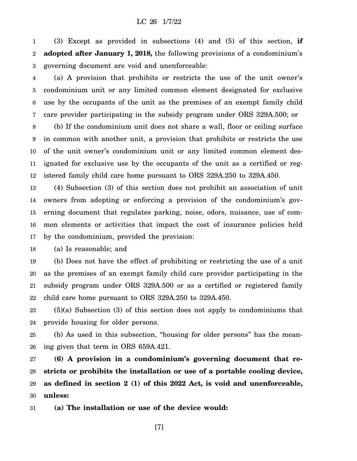1 2 3 (3) Except as provided in subsections (4) and (5) of this section, **if adopted after January 1, 2018,** the following provisions of a condominium's governing document are void and unenforceable:

4 5 6 7 (a) A provision that prohibits or restricts the use of the unit owner's condominium unit or any limited common element designated for exclusive use by the occupants of the unit as the premises of an exempt family child care provider participating in the subsidy program under ORS 329A.500; or

8 9 10 11 12 (b) If the condominium unit does not share a wall, floor or ceiling surface in common with another unit, a provision that prohibits or restricts the use of the unit owner's condominium unit or any limited common element designated for exclusive use by the occupants of the unit as a certified or registered family child care home pursuant to ORS 329A.250 to 329A.450.

13 14 15 16 17 (4) Subsection (3) of this section does not prohibit an association of unit owners from adopting or enforcing a provision of the condominium's governing document that regulates parking, noise, odors, nuisance, use of common elements or activities that impact the cost of insurance policies held by the condominium, provided the provision:

18 (a) Is reasonable; and

19 20 21 22 (b) Does not have the effect of prohibiting or restricting the use of a unit as the premises of an exempt family child care provider participating in the subsidy program under ORS 329A.500 or as a certified or registered family child care home pursuant to ORS 329A.250 to 329A.450.

23 24 (5)(a) Subsection (3) of this section does not apply to condominiums that provide housing for older persons.

25 26 (b) As used in this subsection, "housing for older persons" has the meaning given that term in ORS 659A.421.

27 28 29 30 **(6) A provision in a condominium's governing document that restricts or prohibits the installation or use of a portable cooling device, as defined in section 2 (1) of this 2022 Act, is void and unenforceable, unless:**

31 **(a) The installation or use of the device would:**

[7]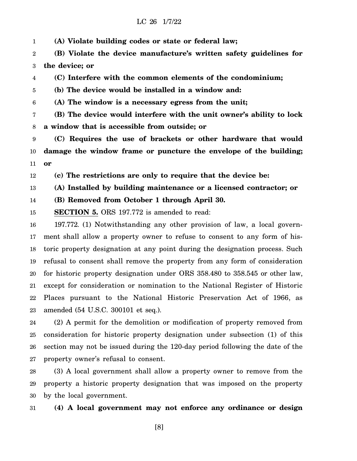1 **(A) Violate building codes or state or federal law;**

2 3 **(B) Violate the device manufacture's written safety guidelines for the device; or**

4 **(C) Interfere with the common elements of the condominium;**

5 **(b) The device would be installed in a window and:**

6 **(A) The window is a necessary egress from the unit;**

7 8 **(B) The device would interfere with the unit owner's ability to lock a window that is accessible from outside; or**

9 10 11 **(C) Requires the use of brackets or other hardware that would damage the window frame or puncture the envelope of the building; or**

12 **(c) The restrictions are only to require that the device be:**

13 **(A) Installed by building maintenance or a licensed contractor; or**

14 **(B) Removed from October 1 through April 30.**

15 **SECTION 5.** ORS 197.772 is amended to read:

16 17 18 19 20 21 22 23 197.772. (1) Notwithstanding any other provision of law, a local government shall allow a property owner to refuse to consent to any form of historic property designation at any point during the designation process. Such refusal to consent shall remove the property from any form of consideration for historic property designation under ORS 358.480 to 358.545 or other law, except for consideration or nomination to the National Register of Historic Places pursuant to the National Historic Preservation Act of 1966, as amended (54 U.S.C. 300101 et seq.).

24 25 26 27 (2) A permit for the demolition or modification of property removed from consideration for historic property designation under subsection (1) of this section may not be issued during the 120-day period following the date of the property owner's refusal to consent.

28 29 30 (3) A local government shall allow a property owner to remove from the property a historic property designation that was imposed on the property by the local government.

31 **(4) A local government may not enforce any ordinance or design**

[8]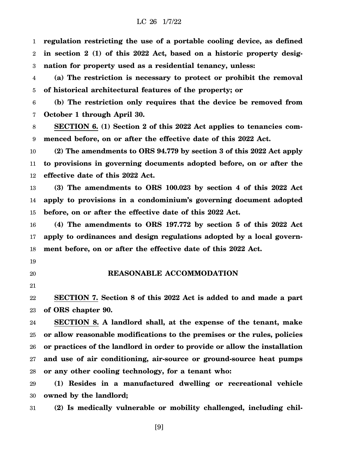1 2 3 **regulation restricting the use of a portable cooling device, as defined in section 2 (1) of this 2022 Act, based on a historic property designation for property used as a residential tenancy, unless:**

4 5 **(a) The restriction is necessary to protect or prohibit the removal of historical architectural features of the property; or**

6 7 **(b) The restriction only requires that the device be removed from October 1 through April 30.**

8 9 **SECTION 6. (1) Section 2 of this 2022 Act applies to tenancies commenced before, on or after the effective date of this 2022 Act.**

10 11 12 **(2) The amendments to ORS 94.779 by section 3 of this 2022 Act apply to provisions in governing documents adopted before, on or after the effective date of this 2022 Act.**

13 14 15 **(3) The amendments to ORS 100.023 by section 4 of this 2022 Act apply to provisions in a condominium's governing document adopted before, on or after the effective date of this 2022 Act.**

16 17 18 **(4) The amendments to ORS 197.772 by section 5 of this 2022 Act apply to ordinances and design regulations adopted by a local government before, on or after the effective date of this 2022 Act.**

- 19
- 20

**REASONABLE ACCOMMODATION**

21

22 23 **SECTION 7. Section 8 of this 2022 Act is added to and made a part of ORS chapter 90.**

24 25 26 27 28 **SECTION 8. A landlord shall, at the expense of the tenant, make or allow reasonable modifications to the premises or the rules, policies or practices of the landlord in order to provide or allow the installation and use of air conditioning, air-source or ground-source heat pumps or any other cooling technology, for a tenant who:**

29 30 **(1) Resides in a manufactured dwelling or recreational vehicle owned by the landlord;**

31 **(2) Is medically vulnerable or mobility challenged, including chil-**

[9]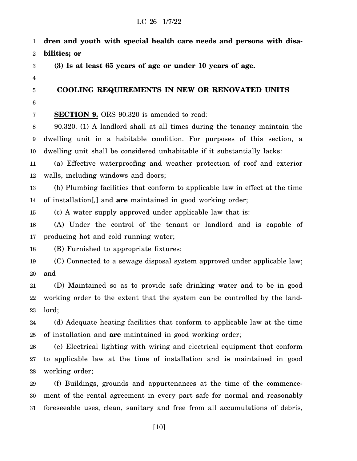1 2 3 4 5 6 7 8 9 10 11 12 13 14 15 16 17 18 19 20 21 22 23 24 25 26 27 28 29 30 31 **dren and youth with special health care needs and persons with disabilities; or (3) Is at least 65 years of age or under 10 years of age. COOLING REQUIREMENTS IN NEW OR RENOVATED UNITS SECTION 9.** ORS 90.320 is amended to read: 90.320. (1) A landlord shall at all times during the tenancy maintain the dwelling unit in a habitable condition. For purposes of this section, a dwelling unit shall be considered unhabitable if it substantially lacks: (a) Effective waterproofing and weather protection of roof and exterior walls, including windows and doors; (b) Plumbing facilities that conform to applicable law in effect at the time of installation[*,*] and **are** maintained in good working order; (c) A water supply approved under applicable law that is: (A) Under the control of the tenant or landlord and is capable of producing hot and cold running water; (B) Furnished to appropriate fixtures; (C) Connected to a sewage disposal system approved under applicable law; and (D) Maintained so as to provide safe drinking water and to be in good working order to the extent that the system can be controlled by the landlord; (d) Adequate heating facilities that conform to applicable law at the time of installation and **are** maintained in good working order; (e) Electrical lighting with wiring and electrical equipment that conform to applicable law at the time of installation and **is** maintained in good working order; (f) Buildings, grounds and appurtenances at the time of the commencement of the rental agreement in every part safe for normal and reasonably foreseeable uses, clean, sanitary and free from all accumulations of debris,

[10]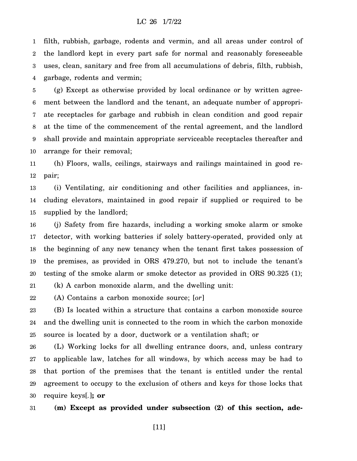1 2 3 4 filth, rubbish, garbage, rodents and vermin, and all areas under control of the landlord kept in every part safe for normal and reasonably foreseeable uses, clean, sanitary and free from all accumulations of debris, filth, rubbish, garbage, rodents and vermin;

5 6 7 8 9 10 (g) Except as otherwise provided by local ordinance or by written agreement between the landlord and the tenant, an adequate number of appropriate receptacles for garbage and rubbish in clean condition and good repair at the time of the commencement of the rental agreement, and the landlord shall provide and maintain appropriate serviceable receptacles thereafter and arrange for their removal;

11 12 (h) Floors, walls, ceilings, stairways and railings maintained in good repair;

13 14 15 (i) Ventilating, air conditioning and other facilities and appliances, including elevators, maintained in good repair if supplied or required to be supplied by the landlord;

16 17 18 19 20 (j) Safety from fire hazards, including a working smoke alarm or smoke detector, with working batteries if solely battery-operated, provided only at the beginning of any new tenancy when the tenant first takes possession of the premises, as provided in ORS 479.270, but not to include the tenant's testing of the smoke alarm or smoke detector as provided in ORS 90.325 (1);

21 (k) A carbon monoxide alarm, and the dwelling unit:

22 (A) Contains a carbon monoxide source; [*or*]

23 24 25 (B) Is located within a structure that contains a carbon monoxide source and the dwelling unit is connected to the room in which the carbon monoxide source is located by a door, ductwork or a ventilation shaft; or

26 27 28 29 30 (L) Working locks for all dwelling entrance doors, and, unless contrary to applicable law, latches for all windows, by which access may be had to that portion of the premises that the tenant is entitled under the rental agreement to occupy to the exclusion of others and keys for those locks that require keys[*.*]**; or**

31 **(m) Except as provided under subsection (2) of this section, ade-**

[11]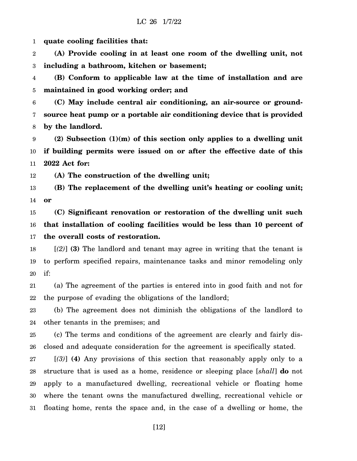1 **quate cooling facilities that:**

2 3 **(A) Provide cooling in at least one room of the dwelling unit, not including a bathroom, kitchen or basement;**

4 5 **(B) Conform to applicable law at the time of installation and are maintained in good working order; and**

6 7 8 **(C) May include central air conditioning, an air-source or groundsource heat pump or a portable air conditioning device that is provided by the landlord.**

9 10 11 **(2) Subsection (1)(m) of this section only applies to a dwelling unit if building permits were issued on or after the effective date of this 2022 Act for:**

12 **(A) The construction of the dwelling unit;**

13 14 **(B) The replacement of the dwelling unit's heating or cooling unit; or**

15 16 17 **(C) Significant renovation or restoration of the dwelling unit such that installation of cooling facilities would be less than 10 percent of the overall costs of restoration.**

18 19 20 [*(2)*] **(3)** The landlord and tenant may agree in writing that the tenant is to perform specified repairs, maintenance tasks and minor remodeling only if:

21 22 (a) The agreement of the parties is entered into in good faith and not for the purpose of evading the obligations of the landlord;

23 24 (b) The agreement does not diminish the obligations of the landlord to other tenants in the premises; and

25 26 (c) The terms and conditions of the agreement are clearly and fairly disclosed and adequate consideration for the agreement is specifically stated.

27 28 29 30 31 [*(3)*] **(4)** Any provisions of this section that reasonably apply only to a structure that is used as a home, residence or sleeping place [*shall*] **do** not apply to a manufactured dwelling, recreational vehicle or floating home where the tenant owns the manufactured dwelling, recreational vehicle or floating home, rents the space and, in the case of a dwelling or home, the

[12]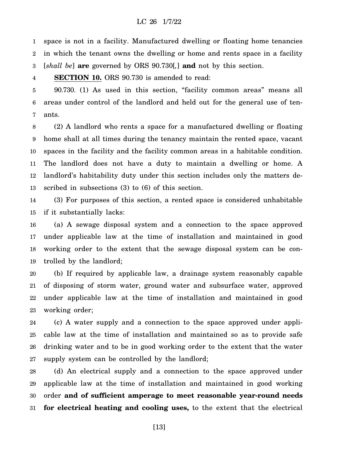1 2 3 space is not in a facility. Manufactured dwelling or floating home tenancies in which the tenant owns the dwelling or home and rents space in a facility [*shall be*] **are** governed by ORS 90.730[*,*] **and** not by this section.

4 **SECTION 10.** ORS 90.730 is amended to read:

5 6 7 90.730. (1) As used in this section, "facility common areas" means all areas under control of the landlord and held out for the general use of tenants.

8 9 10 11 12 13 (2) A landlord who rents a space for a manufactured dwelling or floating home shall at all times during the tenancy maintain the rented space, vacant spaces in the facility and the facility common areas in a habitable condition. The landlord does not have a duty to maintain a dwelling or home. A landlord's habitability duty under this section includes only the matters described in subsections (3) to (6) of this section.

14 15 (3) For purposes of this section, a rented space is considered unhabitable if it substantially lacks:

16 17 18 19 (a) A sewage disposal system and a connection to the space approved under applicable law at the time of installation and maintained in good working order to the extent that the sewage disposal system can be controlled by the landlord;

20 21 22 23 (b) If required by applicable law, a drainage system reasonably capable of disposing of storm water, ground water and subsurface water, approved under applicable law at the time of installation and maintained in good working order;

24 25 26 27 (c) A water supply and a connection to the space approved under applicable law at the time of installation and maintained so as to provide safe drinking water and to be in good working order to the extent that the water supply system can be controlled by the landlord;

28 29 30 31 (d) An electrical supply and a connection to the space approved under applicable law at the time of installation and maintained in good working order **and of sufficient amperage to meet reasonable year-round needs for electrical heating and cooling uses,** to the extent that the electrical

[13]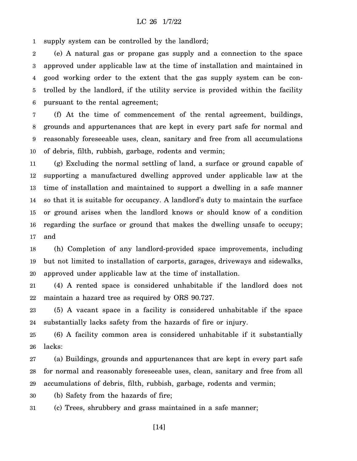1 supply system can be controlled by the landlord;

2 3 4 5 6 (e) A natural gas or propane gas supply and a connection to the space approved under applicable law at the time of installation and maintained in good working order to the extent that the gas supply system can be controlled by the landlord, if the utility service is provided within the facility pursuant to the rental agreement;

7 8 9 10 (f) At the time of commencement of the rental agreement, buildings, grounds and appurtenances that are kept in every part safe for normal and reasonably foreseeable uses, clean, sanitary and free from all accumulations of debris, filth, rubbish, garbage, rodents and vermin;

11 12 13 14 15 16 17 (g) Excluding the normal settling of land, a surface or ground capable of supporting a manufactured dwelling approved under applicable law at the time of installation and maintained to support a dwelling in a safe manner so that it is suitable for occupancy. A landlord's duty to maintain the surface or ground arises when the landlord knows or should know of a condition regarding the surface or ground that makes the dwelling unsafe to occupy; and

18 19 20 (h) Completion of any landlord-provided space improvements, including but not limited to installation of carports, garages, driveways and sidewalks, approved under applicable law at the time of installation.

21 22 (4) A rented space is considered unhabitable if the landlord does not maintain a hazard tree as required by ORS 90.727.

23 24 (5) A vacant space in a facility is considered unhabitable if the space substantially lacks safety from the hazards of fire or injury.

25 26 (6) A facility common area is considered unhabitable if it substantially lacks:

27 28 29 (a) Buildings, grounds and appurtenances that are kept in every part safe for normal and reasonably foreseeable uses, clean, sanitary and free from all accumulations of debris, filth, rubbish, garbage, rodents and vermin;

30 (b) Safety from the hazards of fire;

31 (c) Trees, shrubbery and grass maintained in a safe manner;

[14]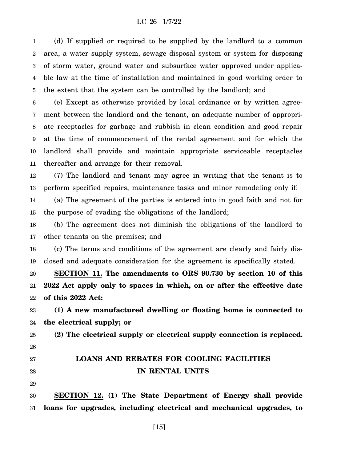1 2 3 4 5 (d) If supplied or required to be supplied by the landlord to a common area, a water supply system, sewage disposal system or system for disposing of storm water, ground water and subsurface water approved under applicable law at the time of installation and maintained in good working order to the extent that the system can be controlled by the landlord; and

6 7 8 9 10 11 (e) Except as otherwise provided by local ordinance or by written agreement between the landlord and the tenant, an adequate number of appropriate receptacles for garbage and rubbish in clean condition and good repair at the time of commencement of the rental agreement and for which the landlord shall provide and maintain appropriate serviceable receptacles thereafter and arrange for their removal.

12 13 (7) The landlord and tenant may agree in writing that the tenant is to perform specified repairs, maintenance tasks and minor remodeling only if:

14 15 (a) The agreement of the parties is entered into in good faith and not for the purpose of evading the obligations of the landlord;

16 17 (b) The agreement does not diminish the obligations of the landlord to other tenants on the premises; and

18 19 (c) The terms and conditions of the agreement are clearly and fairly disclosed and adequate consideration for the agreement is specifically stated.

20 21 22 **SECTION 11. The amendments to ORS 90.730 by section 10 of this 2022 Act apply only to spaces in which, on or after the effective date of this 2022 Act:**

23 24 **(1) A new manufactured dwelling or floating home is connected to the electrical supply; or**

25 26 **(2) The electrical supply or electrical supply connection is replaced.**

# **LOANS AND REBATES FOR COOLING FACILITIES IN RENTAL UNITS**

28 29

27

30 31 **SECTION 12. (1) The State Department of Energy shall provide loans for upgrades, including electrical and mechanical upgrades, to**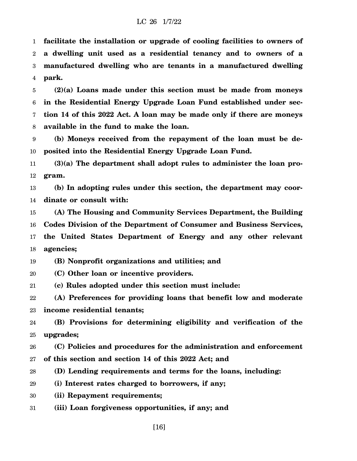1 2 3 4 **facilitate the installation or upgrade of cooling facilities to owners of a dwelling unit used as a residential tenancy and to owners of a manufactured dwelling who are tenants in a manufactured dwelling park.**

5 6 7 8 **(2)(a) Loans made under this section must be made from moneys in the Residential Energy Upgrade Loan Fund established under section 14 of this 2022 Act. A loan may be made only if there are moneys available in the fund to make the loan.**

9 10 **(b) Moneys received from the repayment of the loan must be deposited into the Residential Energy Upgrade Loan Fund.**

11 12 **(3)(a) The department shall adopt rules to administer the loan program.**

13 14 **(b) In adopting rules under this section, the department may coordinate or consult with:**

15 16 17 18 **(A) The Housing and Community Services Department, the Building Codes Division of the Department of Consumer and Business Services, the United States Department of Energy and any other relevant agencies;**

19 **(B) Nonprofit organizations and utilities; and**

20 **(C) Other loan or incentive providers.**

21 **(c) Rules adopted under this section must include:**

22 23 **(A) Preferences for providing loans that benefit low and moderate income residential tenants;**

24 25 **(B) Provisions for determining eligibility and verification of the upgrades;**

26 27 **(C) Policies and procedures for the administration and enforcement of this section and section 14 of this 2022 Act; and**

28 **(D) Lending requirements and terms for the loans, including:**

29 **(i) Interest rates charged to borrowers, if any;**

30 **(ii) Repayment requirements;**

31 **(iii) Loan forgiveness opportunities, if any; and**

[16]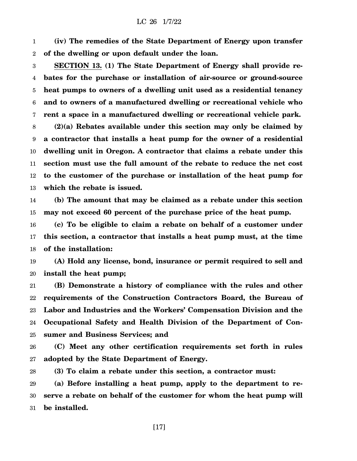1 2 **(iv) The remedies of the State Department of Energy upon transfer of the dwelling or upon default under the loan.**

3 4 5 6 7 **SECTION 13. (1) The State Department of Energy shall provide rebates for the purchase or installation of air-source or ground-source heat pumps to owners of a dwelling unit used as a residential tenancy and to owners of a manufactured dwelling or recreational vehicle who rent a space in a manufactured dwelling or recreational vehicle park.**

8 9 10 11 12 13 **(2)(a) Rebates available under this section may only be claimed by a contractor that installs a heat pump for the owner of a residential dwelling unit in Oregon. A contractor that claims a rebate under this section must use the full amount of the rebate to reduce the net cost to the customer of the purchase or installation of the heat pump for which the rebate is issued.**

14 15 **(b) The amount that may be claimed as a rebate under this section may not exceed 60 percent of the purchase price of the heat pump.**

16 17 18 **(c) To be eligible to claim a rebate on behalf of a customer under this section, a contractor that installs a heat pump must, at the time of the installation:**

19 20 **(A) Hold any license, bond, insurance or permit required to sell and install the heat pump;**

21 22 23 24 25 **(B) Demonstrate a history of compliance with the rules and other requirements of the Construction Contractors Board, the Bureau of Labor and Industries and the Workers' Compensation Division and the Occupational Safety and Health Division of the Department of Consumer and Business Services; and**

26 27 **(C) Meet any other certification requirements set forth in rules adopted by the State Department of Energy.**

28 **(3) To claim a rebate under this section, a contractor must:**

29 30 31 **(a) Before installing a heat pump, apply to the department to reserve a rebate on behalf of the customer for whom the heat pump will be installed.**

[17]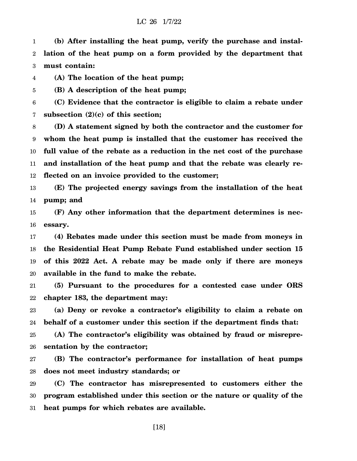1 2 3 **(b) After installing the heat pump, verify the purchase and installation of the heat pump on a form provided by the department that must contain:**

4 **(A) The location of the heat pump;**

5 **(B) A description of the heat pump;**

6 7 **(C) Evidence that the contractor is eligible to claim a rebate under subsection (2)(c) of this section;**

8 9 10 11 12 **(D) A statement signed by both the contractor and the customer for whom the heat pump is installed that the customer has received the full value of the rebate as a reduction in the net cost of the purchase and installation of the heat pump and that the rebate was clearly reflected on an invoice provided to the customer;**

13 14 **(E) The projected energy savings from the installation of the heat pump; and**

15 16 **(F) Any other information that the department determines is necessary.**

17 18 19 20 **(4) Rebates made under this section must be made from moneys in the Residential Heat Pump Rebate Fund established under section 15 of this 2022 Act. A rebate may be made only if there are moneys available in the fund to make the rebate.**

21 22 **(5) Pursuant to the procedures for a contested case under ORS chapter 183, the department may:**

23 24 **(a) Deny or revoke a contractor's eligibility to claim a rebate on behalf of a customer under this section if the department finds that:**

25 26 **(A) The contractor's eligibility was obtained by fraud or misrepresentation by the contractor;**

27 28 **(B) The contractor's performance for installation of heat pumps does not meet industry standards; or**

29 30 31 **(C) The contractor has misrepresented to customers either the program established under this section or the nature or quality of the heat pumps for which rebates are available.**

[18]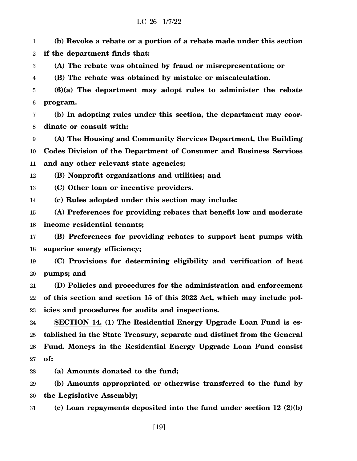1 2 **(b) Revoke a rebate or a portion of a rebate made under this section if the department finds that:**

3 **(A) The rebate was obtained by fraud or misrepresentation; or**

4 **(B) The rebate was obtained by mistake or miscalculation.**

5 6 **(6)(a) The department may adopt rules to administer the rebate program.**

7 8 **(b) In adopting rules under this section, the department may coordinate or consult with:**

9 10 11 **(A) The Housing and Community Services Department, the Building Codes Division of the Department of Consumer and Business Services and any other relevant state agencies;**

12 **(B) Nonprofit organizations and utilities; and**

13 **(C) Other loan or incentive providers.**

14 **(c) Rules adopted under this section may include:**

15 16 **(A) Preferences for providing rebates that benefit low and moderate income residential tenants;**

17 18 **(B) Preferences for providing rebates to support heat pumps with superior energy efficiency;**

19 20 **(C) Provisions for determining eligibility and verification of heat pumps; and**

21 22 23 **(D) Policies and procedures for the administration and enforcement of this section and section 15 of this 2022 Act, which may include policies and procedures for audits and inspections.**

24 25 26 27 **SECTION 14. (1) The Residential Energy Upgrade Loan Fund is established in the State Treasury, separate and distinct from the General Fund. Moneys in the Residential Energy Upgrade Loan Fund consist of:**

28 **(a) Amounts donated to the fund;**

29 30 **(b) Amounts appropriated or otherwise transferred to the fund by the Legislative Assembly;**

31 **(c) Loan repayments deposited into the fund under section 12 (2)(b)**

[19]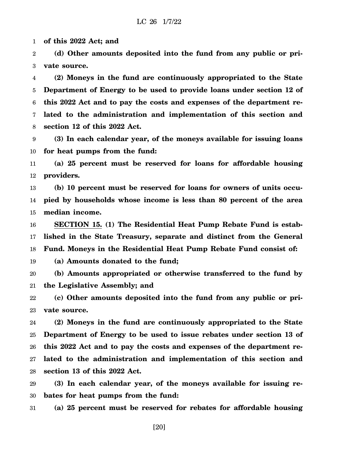1 **of this 2022 Act; and**

2 3 **(d) Other amounts deposited into the fund from any public or private source.**

4 5 6 7 8 **(2) Moneys in the fund are continuously appropriated to the State Department of Energy to be used to provide loans under section 12 of this 2022 Act and to pay the costs and expenses of the department related to the administration and implementation of this section and section 12 of this 2022 Act.**

9 10 **(3) In each calendar year, of the moneys available for issuing loans for heat pumps from the fund:**

11 12 **(a) 25 percent must be reserved for loans for affordable housing providers.**

13 14 15 **(b) 10 percent must be reserved for loans for owners of units occupied by households whose income is less than 80 percent of the area median income.**

16 17 18 **SECTION 15. (1) The Residential Heat Pump Rebate Fund is established in the State Treasury, separate and distinct from the General Fund. Moneys in the Residential Heat Pump Rebate Fund consist of:**

19 **(a) Amounts donated to the fund;**

20 21 **(b) Amounts appropriated or otherwise transferred to the fund by the Legislative Assembly; and**

22 23 **(c) Other amounts deposited into the fund from any public or private source.**

24 25 26 27 28 **(2) Moneys in the fund are continuously appropriated to the State Department of Energy to be used to issue rebates under section 13 of this 2022 Act and to pay the costs and expenses of the department related to the administration and implementation of this section and section 13 of this 2022 Act.**

29 30 **(3) In each calendar year, of the moneys available for issuing rebates for heat pumps from the fund:**

31 **(a) 25 percent must be reserved for rebates for affordable housing**

[20]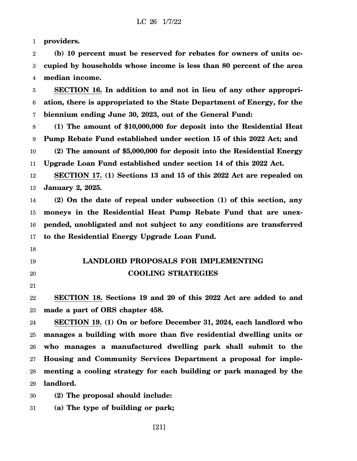1 **providers.**

2 3 4 **(b) 10 percent must be reserved for rebates for owners of units occupied by households whose income is less than 80 percent of the area median income.**

5 6 7 **SECTION 16. In addition to and not in lieu of any other appropriation, there is appropriated to the State Department of Energy, for the biennium ending June 30, 2023, out of the General Fund:**

8 9 **(1) The amount of \$10,000,000 for deposit into the Residential Heat Pump Rebate Fund established under section 15 of this 2022 Act; and**

10 11 **(2) The amount of \$5,000,000 for deposit into the Residential Energy Upgrade Loan Fund established under section 14 of this 2022 Act.**

12 13 **SECTION 17. (1) Sections 13 and 15 of this 2022 Act are repealed on January 2, 2025.**

14 15 16 17 **(2) On the date of repeal under subsection (1) of this section, any moneys in the Residential Heat Pump Rebate Fund that are unexpended, unobligated and not subject to any conditions are transferred to the Residential Energy Upgrade Loan Fund.**

- 18
- 19

# 20

21

22 23 **SECTION 18. Sections 19 and 20 of this 2022 Act are added to and made a part of ORS chapter 458.**

**LANDLORD PROPOSALS FOR IMPLEMENTING**

**COOLING STRATEGIES**

24 25 26 27 28 29 **SECTION 19. (1) On or before December 31, 2024, each landlord who manages a building with more than five residential dwelling units or who manages a manufactured dwelling park shall submit to the Housing and Community Services Department a proposal for implementing a cooling strategy for each building or park managed by the landlord.**

30 **(2) The proposal should include:**

31 **(a) The type of building or park;**

[21]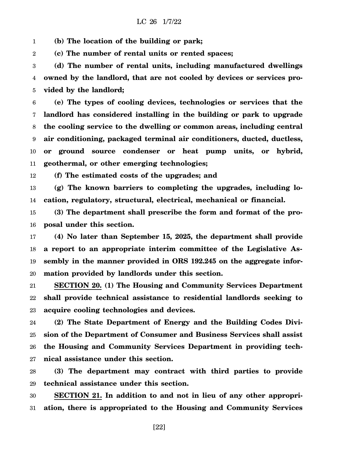1 **(b) The location of the building or park;**

2 **(c) The number of rental units or rented spaces;**

3 4 5 **(d) The number of rental units, including manufactured dwellings owned by the landlord, that are not cooled by devices or services provided by the landlord;**

6 7 8 9 10 11 **(e) The types of cooling devices, technologies or services that the landlord has considered installing in the building or park to upgrade the cooling service to the dwelling or common areas, including central air conditioning, packaged terminal air conditioners, ducted, ductless, or ground source condenser or heat pump units, or hybrid, geothermal, or other emerging technologies;**

12 **(f) The estimated costs of the upgrades; and**

13 14 **(g) The known barriers to completing the upgrades, including location, regulatory, structural, electrical, mechanical or financial.**

15 16 **(3) The department shall prescribe the form and format of the proposal under this section.**

17 18 19 20 **(4) No later than September 15, 2025, the department shall provide a report to an appropriate interim committee of the Legislative Assembly in the manner provided in ORS 192.245 on the aggregate information provided by landlords under this section.**

21 22 23 **SECTION 20. (1) The Housing and Community Services Department shall provide technical assistance to residential landlords seeking to acquire cooling technologies and devices.**

24 25 26 27 **(2) The State Department of Energy and the Building Codes Division of the Department of Consumer and Business Services shall assist the Housing and Community Services Department in providing technical assistance under this section.**

28 29 **(3) The department may contract with third parties to provide technical assistance under this section.**

30 31 **SECTION 21. In addition to and not in lieu of any other appropriation, there is appropriated to the Housing and Community Services**

[22]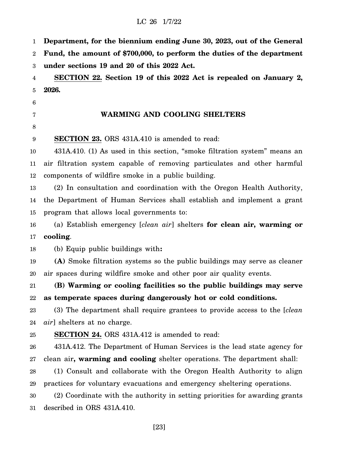1 2 3 4 5 6 7 8 9 10 11 12 13 14 15 16 17 18 19 20 21 22 23 24 25 26 27 28 29 30 31 **Department, for the biennium ending June 30, 2023, out of the General Fund, the amount of \$700,000, to perform the duties of the department under sections 19 and 20 of this 2022 Act. SECTION 22. Section 19 of this 2022 Act is repealed on January 2, 2026. WARMING AND COOLING SHELTERS SECTION 23.** ORS 431A.410 is amended to read: 431A.410. (1) As used in this section, "smoke filtration system" means an air filtration system capable of removing particulates and other harmful components of wildfire smoke in a public building. (2) In consultation and coordination with the Oregon Health Authority, the Department of Human Services shall establish and implement a grant program that allows local governments to: (a) Establish emergency [*clean air*] shelters **for clean air, warming or cooling**. (b) Equip public buildings with**: (A)** Smoke filtration systems so the public buildings may serve as cleaner air spaces during wildfire smoke and other poor air quality events. **(B) Warming or cooling facilities so the public buildings may serve as temperate spaces during dangerously hot or cold conditions.** (3) The department shall require grantees to provide access to the [*clean air*] shelters at no charge. **SECTION 24.** ORS 431A.412 is amended to read: 431A.412. The Department of Human Services is the lead state agency for clean air**, warming and cooling** shelter operations. The department shall: (1) Consult and collaborate with the Oregon Health Authority to align practices for voluntary evacuations and emergency sheltering operations. (2) Coordinate with the authority in setting priorities for awarding grants described in ORS 431A.410.

[23]